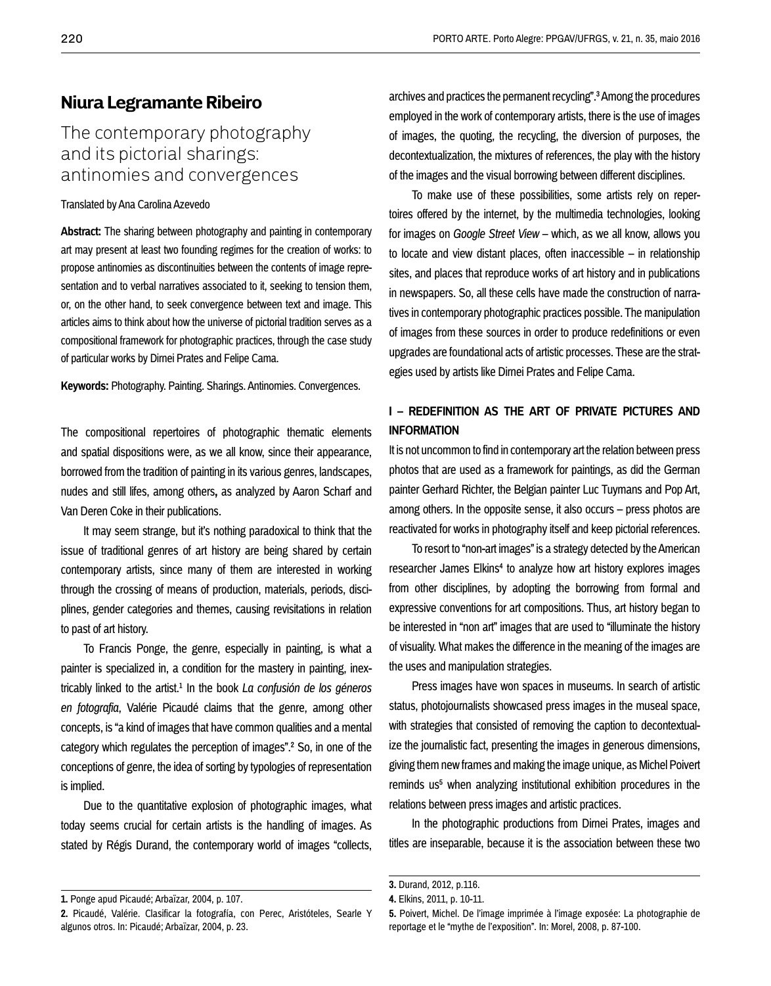# **Niura Legramante Ribeiro**

# The contemporary photography and its pictorial sharings: antinomies and convergences

#### Translated by Ana Carolina Azevedo

**Abstract:** The sharing between photography and painting in contemporary art may present at least two founding regimes for the creation of works: to propose antinomies as discontinuities between the contents of image representation and to verbal narratives associated to it, seeking to tension them, or, on the other hand, to seek convergence between text and image. This articles aims to think about how the universe of pictorial tradition serves as a compositional framework for photographic practices, through the case study of particular works by Dirnei Prates and Felipe Cama.

**Keywords:** Photography. Painting. Sharings. Antinomies. Convergences.

The compositional repertoires of photographic thematic elements and spatial dispositions were, as we all know, since their appearance, borrowed from the tradition of painting in its various genres, landscapes, nudes and still lifes, among others**,** as analyzed by Aaron Scharf and Van Deren Coke in their publications.

It may seem strange, but it's nothing paradoxical to think that the issue of traditional genres of art history are being shared by certain contemporary artists, since many of them are interested in working through the crossing of means of production, materials, periods, disciplines, gender categories and themes, causing revisitations in relation to past of art history.

To Francis Ponge, the genre, especially in painting, is what a painter is specialized in, a condition for the mastery in painting, inextricably linked to the artist.1 In the book *La confusión de los géneros en fotografia*, Valérie Picaudé claims that the genre, among other concepts, is "a kind of images that have common qualities and a mental category which regulates the perception of images".2 So, in one of the conceptions of genre, the idea of sorting by typologies of representation is implied.

Due to the quantitative explosion of photographic images, what today seems crucial for certain artists is the handling of images. As stated by Régis Durand, the contemporary world of images "collects, archives and practices the permanent recycling".3 Among the procedures employed in the work of contemporary artists, there is the use of images of images, the quoting, the recycling, the diversion of purposes, the decontextualization, the mixtures of references, the play with the history of the images and the visual borrowing between different disciplines.

To make use of these possibilities, some artists rely on repertoires offered by the internet, by the multimedia technologies, looking for images on *Google Street View* – which, as we all know, allows you to locate and view distant places, often inaccessible – in relationship sites, and places that reproduce works of art history and in publications in newspapers. So, all these cells have made the construction of narratives in contemporary photographic practices possible. The manipulation of images from these sources in order to produce redefinitions or even upgrades are foundational acts of artistic processes. These are the strategies used by artists like Dirnei Prates and Felipe Cama.

### **I – REDEFINITION AS THE ART OF PRIVATE PICTURES AND INFORMATION**

It is not uncommon to find in contemporary art the relation between press photos that are used as a framework for paintings, as did the German painter Gerhard Richter, the Belgian painter Luc Tuymans and Pop Art, among others. In the opposite sense, it also occurs – press photos are reactivated for works in photography itself and keep pictorial references.

To resort to "non-art images" is a strategy detected by the American researcher James Elkins<sup>4</sup> to analyze how art history explores images from other disciplines, by adopting the borrowing from formal and expressive conventions for art compositions. Thus, art history began to be interested in "non art" images that are used to "illuminate the history of visuality. What makes the difference in the meaning of the images are the uses and manipulation strategies.

Press images have won spaces in museums. In search of artistic status, photojournalists showcased press images in the museal space, with strategies that consisted of removing the caption to decontextualize the journalistic fact, presenting the images in generous dimensions, giving them new frames and making the image unique, as Michel Poivert reminds us<sup>5</sup> when analyzing institutional exhibition procedures in the relations between press images and artistic practices.

In the photographic productions from Dirnei Prates, images and titles are inseparable, because it is the association between these two

**<sup>1.</sup>** Ponge apud Picaudé; Arbaïzar, 2004, p. 107.

**<sup>2.</sup>** Picaudé, Valérie. Clasificar la fotografía, con Perec, Aristóteles, Searle Y algunos otros. In: Picaudé; Arbaïzar, 2004, p. 23.

**<sup>3.</sup>** Durand, 2012, p.116.

**<sup>4.</sup>** Elkins, 2011, p. 10-11.

**<sup>5.</sup>** Poivert, Michel. De l'image imprimée à l'image exposée: La photographie de reportage et le "mythe de l'exposition". In: Morel, 2008, p. 87-100.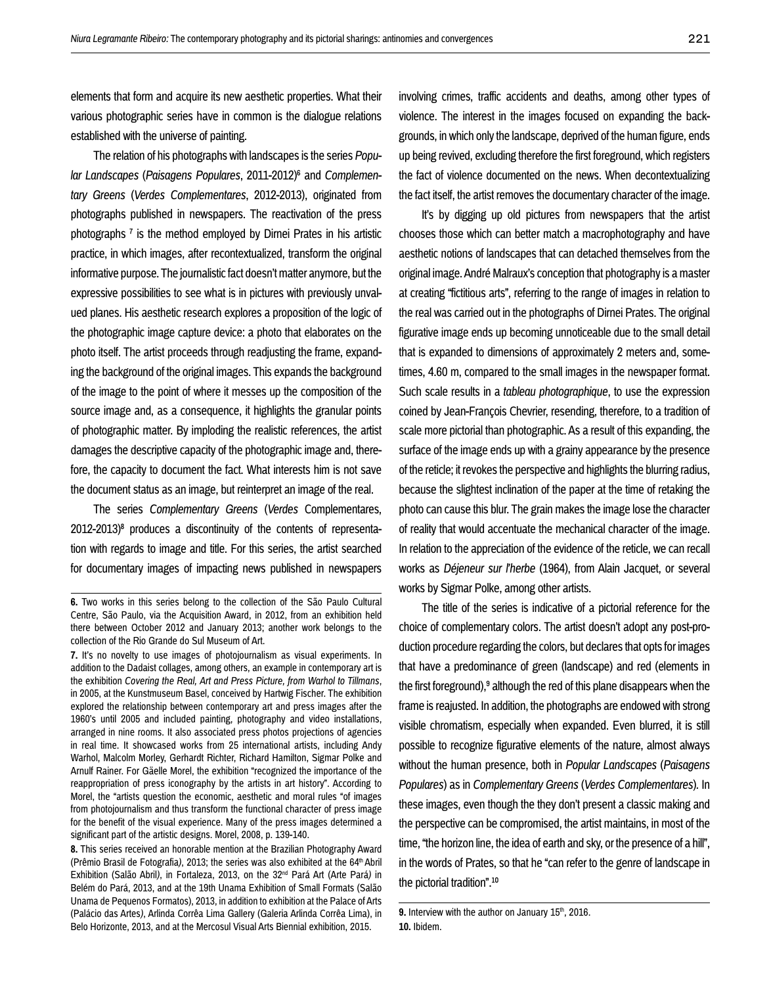elements that form and acquire its new aesthetic properties. What their various photographic series have in common is the dialogue relations established with the universe of painting.

The relation of his photographs with landscapes is the series *Popular Landscapes* (*Paisagens Populares*, 2011-2012)6 and *Complementary Greens* (*Verdes Complementares*, 2012-2013), originated from photographs published in newspapers. The reactivation of the press photographs 7 is the method employed by Dirnei Prates in his artistic practice, in which images, after recontextualized, transform the original informative purpose. The journalistic fact doesn't matter anymore, but the expressive possibilities to see what is in pictures with previously unvalued planes. His aesthetic research explores a proposition of the logic of the photographic image capture device: a photo that elaborates on the photo itself. The artist proceeds through readjusting the frame, expanding the background of the original images. This expands the background of the image to the point of where it messes up the composition of the source image and, as a consequence, it highlights the granular points of photographic matter. By imploding the realistic references, the artist damages the descriptive capacity of the photographic image and, therefore, the capacity to document the fact. What interests him is not save the document status as an image, but reinterpret an image of the real.

The series *Complementary Greens* (*Verdes* Complementares, 2012-2013)<sup>8</sup> produces a discontinuity of the contents of representation with regards to image and title. For this series, the artist searched for documentary images of impacting news published in newspapers involving crimes, traffic accidents and deaths, among other types of violence. The interest in the images focused on expanding the backgrounds, in which only the landscape, deprived of the human figure, ends up being revived, excluding therefore the first foreground, which registers the fact of violence documented on the news. When decontextualizing the fact itself, the artist removes the documentary character of the image.

It's by digging up old pictures from newspapers that the artist chooses those which can better match a macrophotography and have aesthetic notions of landscapes that can detached themselves from the original image. André Malraux's conception that photography is a master at creating "fictitious arts", referring to the range of images in relation to the real was carried out in the photographs of Dirnei Prates. The original figurative image ends up becoming unnoticeable due to the small detail that is expanded to dimensions of approximately 2 meters and, sometimes, 4.60 m, compared to the small images in the newspaper format. Such scale results in a *tableau photographique*, to use the expression coined by Jean-François Chevrier, resending, therefore, to a tradition of scale more pictorial than photographic. As a result of this expanding, the surface of the image ends up with a grainy appearance by the presence of the reticle; it revokes the perspective and highlights the blurring radius, because the slightest inclination of the paper at the time of retaking the photo can cause this blur. The grain makes the image lose the character of reality that would accentuate the mechanical character of the image. In relation to the appreciation of the evidence of the reticle, we can recall works as *Déjeneur sur l'herbe* (1964), from Alain Jacquet, or several works by Sigmar Polke, among other artists.

The title of the series is indicative of a pictorial reference for the choice of complementary colors. The artist doesn't adopt any post-production procedure regarding the colors, but declares that opts for images that have a predominance of green (landscape) and red (elements in the first foreground), $9$  although the red of this plane disappears when the frame is reajusted. In addition, the photographs are endowed with strong visible chromatism, especially when expanded. Even blurred, it is still possible to recognize figurative elements of the nature, almost always without the human presence, both in *Popular Landscapes* (*Paisagens Populares*) as in *Complementary Greens* (*Verdes Complementares*)*.* In these images, even though the they don't present a classic making and the perspective can be compromised, the artist maintains, in most of the time, "the horizon line, the idea of earth and sky, or the presence of a hill", in the words of Prates, so that he "can refer to the genre of landscape in the pictorial tradition".10

**<sup>6.</sup>** Two works in this series belong to the collection of the São Paulo Cultural Centre, São Paulo, via the Acquisition Award, in 2012, from an exhibition held there between October 2012 and January 2013; another work belongs to the collection of the Rio Grande do Sul Museum of Art.

**<sup>7.</sup>** It's no novelty to use images of photojournalism as visual experiments. In addition to the Dadaist collages, among others, an example in contemporary art is the exhibition *Covering the Real, Art and Press Picture, from Warhol to Tillmans*, in 2005, at the Kunstmuseum Basel, conceived by Hartwig Fischer. The exhibition explored the relationship between contemporary art and press images after the 1960's until 2005 and included painting, photography and video installations, arranged in nine rooms. It also associated press photos projections of agencies in real time. It showcased works from 25 international artists, including Andy Warhol, Malcolm Morley, Gerhardt Richter, Richard Hamilton, Sigmar Polke and Arnulf Rainer. For Gäelle Morel, the exhibition "recognized the importance of the reappropriation of press iconography by the artists in art history". According to Morel, the "artists question the economic, aesthetic and moral rules "of images from photojournalism and thus transform the functional character of press image for the benefit of the visual experience. Many of the press images determined a significant part of the artistic designs. Morel, 2008, p. 139-140.

**<sup>8.</sup>** This series received an honorable mention at the Brazilian Photography Award (Prêmio Brasil de Fotografia), 2013; the series was also exhibited at the 64<sup>th</sup> Abril Exhibition (Salão Abril*)*, in Fortaleza, 2013, on the 32nd Pará Art (Arte Pará*)* in Belém do Pará, 2013, and at the 19th Unama Exhibition of Small Formats (Salão Unama de Pequenos Formatos), 2013, in addition to exhibition at the Palace of Arts (Palácio das Artes*)*, Arlinda Corrêa Lima Gallery (Galeria Arlinda Corrêa Lima), in Belo Horizonte, 2013, and at the Mercosul Visual Arts Biennial exhibition, 2015.

<sup>9.</sup> Interview with the author on January 15th, 2016. **10.** Ibidem.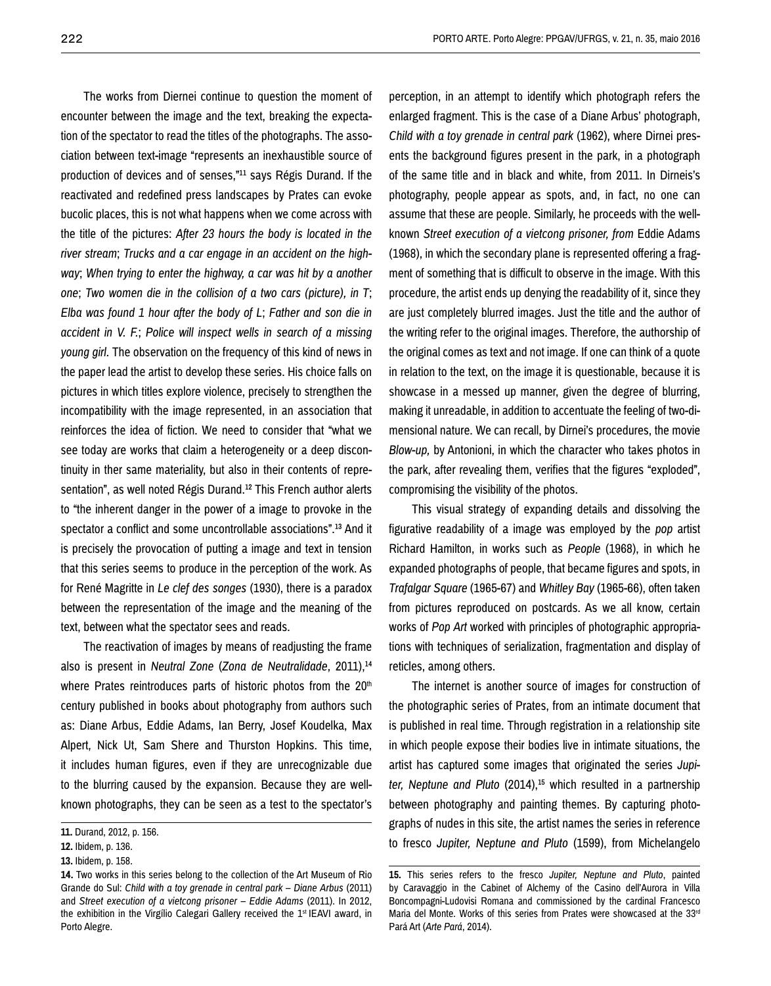The works from Diernei continue to question the moment of encounter between the image and the text, breaking the expectation of the spectator to read the titles of the photographs. The association between text-image "represents an inexhaustible source of production of devices and of senses,"11 says Régis Durand. If the reactivated and redefined press landscapes by Prates can evoke bucolic places, this is not what happens when we come across with the title of the pictures: *After 23 hours the body is located in the river stream*; *Trucks and a car engage in an accident on the highway*; *When trying to enter the highway, a car was hit by a another one*; *Two women die in the collision of a two cars (picture), in T*; *Elba was found 1 hour after the body of L*; *Father and son die in accident in V. F.*; *Police will inspect wells in search of a missing young girl.* The observation on the frequency of this kind of news in the paper lead the artist to develop these series. His choice falls on pictures in which titles explore violence, precisely to strengthen the incompatibility with the image represented, in an association that reinforces the idea of fiction. We need to consider that "what we see today are works that claim a heterogeneity or a deep discontinuity in ther same materiality, but also in their contents of representation", as well noted Régis Durand.<sup>12</sup> This French author alerts to "the inherent danger in the power of a image to provoke in the spectator a conflict and some uncontrollable associations".13 And it is precisely the provocation of putting a image and text in tension that this series seems to produce in the perception of the work. As for René Magritte in *Le clef des songes* (1930), there is a paradox between the representation of the image and the meaning of the text, between what the spectator sees and reads.

The reactivation of images by means of readjusting the frame also is present in *Neutral Zone* (*Zona de Neutralidade*, 2011),14 where Prates reintroduces parts of historic photos from the 20<sup>th</sup> century published in books about photography from authors such as: Diane Arbus, Eddie Adams, Ian Berry, Josef Koudelka, Max Alpert, Nick Ut, Sam Shere and Thurston Hopkins. This time, it includes human figures, even if they are unrecognizable due to the blurring caused by the expansion. Because they are wellknown photographs, they can be seen as a test to the spectator's

perception, in an attempt to identify which photograph refers the enlarged fragment. This is the case of a Diane Arbus' photograph, *Child with a toy grenade in central park* (1962), where Dirnei presents the background figures present in the park, in a photograph of the same title and in black and white, from 2011. In Dirneis's photography, people appear as spots, and, in fact, no one can assume that these are people. Similarly, he proceeds with the wellknown *Street execution of a vietcong prisoner, from* Eddie Adams (1968), in which the secondary plane is represented offering a fragment of something that is difficult to observe in the image. With this procedure, the artist ends up denying the readability of it, since they are just completely blurred images. Just the title and the author of the writing refer to the original images. Therefore, the authorship of the original comes as text and not image. If one can think of a quote in relation to the text, on the image it is questionable, because it is showcase in a messed up manner, given the degree of blurring, making it unreadable, in addition to accentuate the feeling of two-dimensional nature. We can recall, by Dirnei's procedures, the movie *Blow-up,* by Antonioni, in which the character who takes photos in the park, after revealing them, verifies that the figures "exploded", compromising the visibility of the photos.

This visual strategy of expanding details and dissolving the figurative readability of a image was employed by the *pop* artist Richard Hamilton, in works such as *People* (1968), in which he expanded photographs of people, that became figures and spots, in *Trafalgar Square* (1965-67) and *Whitley Bay* (1965-66), often taken from pictures reproduced on postcards. As we all know, certain works of *Pop Art* worked with principles of photographic appropriations with techniques of serialization, fragmentation and display of reticles, among others.

The internet is another source of images for construction of the photographic series of Prates, from an intimate document that is published in real time. Through registration in a relationship site in which people expose their bodies live in intimate situations, the artist has captured some images that originated the series *Jupiter, Neptune and Pluto* (2014),15 which resulted in a partnership between photography and painting themes. By capturing photographs of nudes in this site, the artist names the series in reference to fresco *Jupiter, Neptune and Pluto* (1599), from Michelangelo

**<sup>11.</sup>** Durand, 2012, p. 156.

**<sup>12.</sup>** Ibidem, p. 136.

**<sup>13.</sup>** Ibidem, p. 158.

**<sup>14.</sup>** Two works in this series belong to the collection of the Art Museum of Rio Grande do Sul: *Child with a toy grenade in central park – Diane Arbus* (2011) and *Street execution of a vietcong prisoner – Eddie Adams* (2011). In 2012, the exhibition in the Virgílio Calegari Gallery received the 1<sup>st</sup> IEAVI award, in Porto Alegre.

**<sup>15.</sup>** This series refers to the fresco *Jupiter, Neptune and Pluto*, painted by Caravaggio in the Cabinet of Alchemy of the Casino dell'Aurora in Villa Boncompagni-Ludovisi Romana and commissioned by the cardinal Francesco Maria del Monte. Works of this series from Prates were showcased at the 33rd Pará Art (*Arte Pará*, 2014).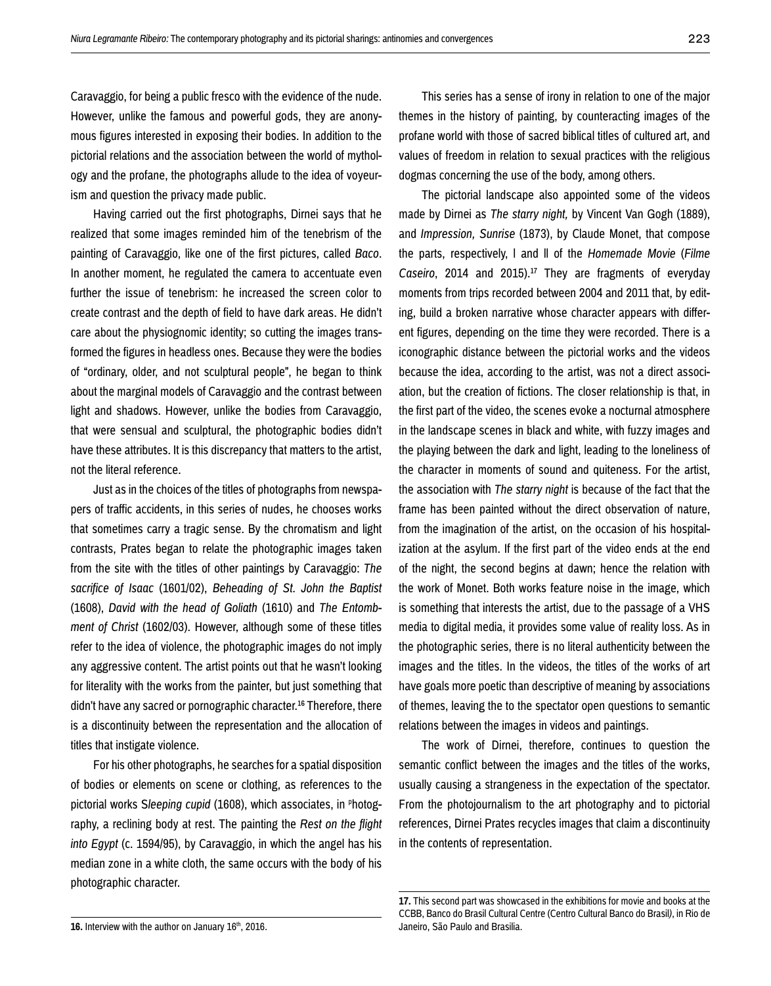Caravaggio, for being a public fresco with the evidence of the nude. However, unlike the famous and powerful gods, they are anonymous figures interested in exposing their bodies. In addition to the pictorial relations and the association between the world of mythology and the profane, the photographs allude to the idea of voyeurism and question the privacy made public.

Having carried out the first photographs, Dirnei says that he realized that some images reminded him of the tenebrism of the painting of Caravaggio, like one of the first pictures, called *Baco*. In another moment, he regulated the camera to accentuate even further the issue of tenebrism: he increased the screen color to create contrast and the depth of field to have dark areas. He didn't care about the physiognomic identity; so cutting the images transformed the figures in headless ones. Because they were the bodies of "ordinary, older, and not sculptural people", he began to think about the marginal models of Caravaggio and the contrast between light and shadows. However, unlike the bodies from Caravaggio, that were sensual and sculptural, the photographic bodies didn't have these attributes. It is this discrepancy that matters to the artist, not the literal reference.

Just as in the choices of the titles of photographs from newspapers of traffic accidents, in this series of nudes, he chooses works that sometimes carry a tragic sense. By the chromatism and light contrasts, Prates began to relate the photographic images taken from the site with the titles of other paintings by Caravaggio: *The sacrifice of Isaac* (1601/02), *Beheading of St. John the Baptist*  (1608), *David with the head of Goliath* (1610) and *The Entombment of Christ* (1602/03). However, although some of these titles refer to the idea of violence, the photographic images do not imply any aggressive content. The artist points out that he wasn't looking for literality with the works from the painter, but just something that didn't have any sacred or pornographic character.16 Therefore, there is a discontinuity between the representation and the allocation of titles that instigate violence.

For his other photographs, he searches for a spatial disposition of bodies or elements on scene or clothing, as references to the pictorial works Sleeping cupid (1608), which associates, in <sup>p</sup>hotography, a reclining body at rest. The painting the *Rest on the flight into Egypt* (c. 1594/95), by Caravaggio, in which the angel has his median zone in a white cloth, the same occurs with the body of his photographic character.

This series has a sense of irony in relation to one of the major themes in the history of painting, by counteracting images of the profane world with those of sacred biblical titles of cultured art, and values of freedom in relation to sexual practices with the religious dogmas concerning the use of the body, among others.

The pictorial landscape also appointed some of the videos made by Dirnei as *The starry night,* by Vincent Van Gogh (1889), and *Impression, Sunrise* (1873), by Claude Monet, that compose the parts, respectively, l and ll of the *Homemade Movie* (*Filme Caseiro*, 2014 and 2015).17 They are fragments of everyday moments from trips recorded between 2004 and 2011 that, by editing, build a broken narrative whose character appears with different figures, depending on the time they were recorded. There is a iconographic distance between the pictorial works and the videos because the idea, according to the artist, was not a direct association, but the creation of fictions. The closer relationship is that, in the first part of the video, the scenes evoke a nocturnal atmosphere in the landscape scenes in black and white, with fuzzy images and the playing between the dark and light, leading to the loneliness of the character in moments of sound and quiteness. For the artist, the association with *The starry night* is because of the fact that the frame has been painted without the direct observation of nature, from the imagination of the artist, on the occasion of his hospitalization at the asylum. If the first part of the video ends at the end of the night, the second begins at dawn; hence the relation with the work of Monet. Both works feature noise in the image, which is something that interests the artist, due to the passage of a VHS media to digital media, it provides some value of reality loss. As in the photographic series, there is no literal authenticity between the images and the titles. In the videos, the titles of the works of art have goals more poetic than descriptive of meaning by associations of themes, leaving the to the spectator open questions to semantic relations between the images in videos and paintings.

The work of Dirnei, therefore, continues to question the semantic conflict between the images and the titles of the works, usually causing a strangeness in the expectation of the spectator. From the photojournalism to the art photography and to pictorial references, Dirnei Prates recycles images that claim a discontinuity in the contents of representation.

**<sup>17.</sup>** This second part was showcased in the exhibitions for movie and books at the CCBB, Banco do Brasil Cultural Centre (Centro Cultural Banco do Brasil*)*, in Rio de Janeiro, São Paulo and Brasilia.

<sup>16.</sup> Interview with the author on January 16<sup>th</sup>, 2016.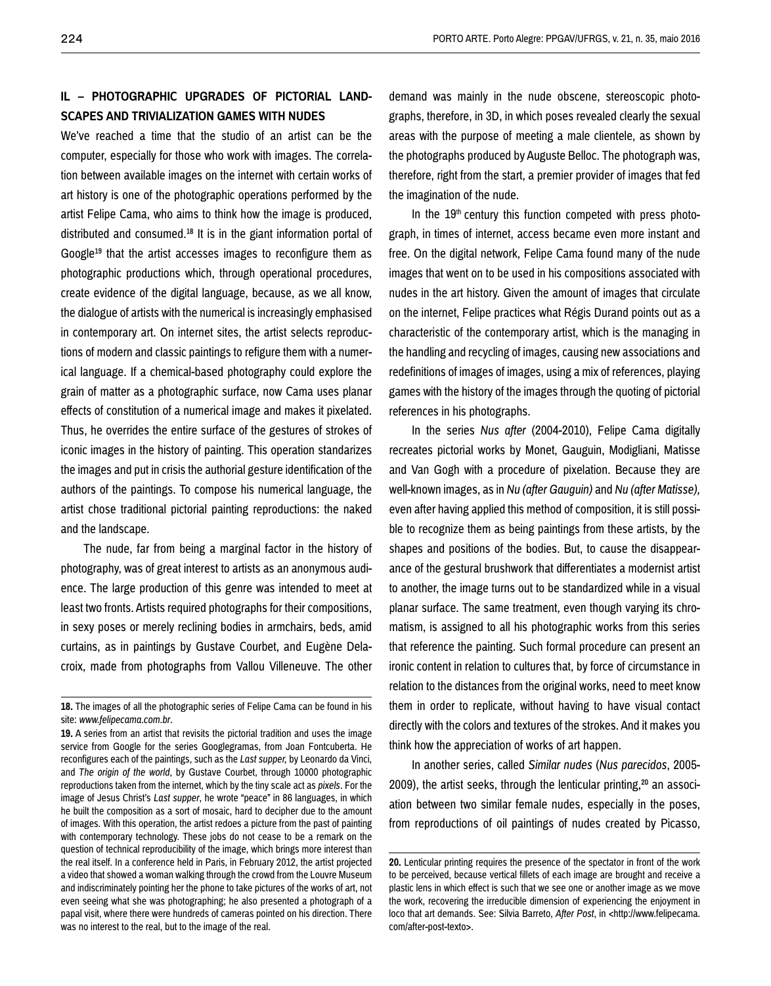## **IL – PHOTOGRAPHIC UPGRADES OF PICTORIAL LAND-SCAPES AND TRIVIALIZATION GAMES WITH NUDES**

We've reached a time that the studio of an artist can be the computer, especially for those who work with images. The correlation between available images on the internet with certain works of art history is one of the photographic operations performed by the artist Felipe Cama, who aims to think how the image is produced, distributed and consumed.18 It is in the giant information portal of Google<sup>19</sup> that the artist accesses images to reconfigure them as photographic productions which, through operational procedures, create evidence of the digital language, because, as we all know, the dialogue of artists with the numerical is increasingly emphasised in contemporary art. On internet sites, the artist selects reproductions of modern and classic paintings to refigure them with a numerical language. If a chemical-based photography could explore the grain of matter as a photographic surface, now Cama uses planar effects of constitution of a numerical image and makes it pixelated. Thus, he overrides the entire surface of the gestures of strokes of iconic images in the history of painting. This operation standarizes the images and put in crisis the authorial gesture identification of the authors of the paintings. To compose his numerical language, the artist chose traditional pictorial painting reproductions: the naked and the landscape.

The nude, far from being a marginal factor in the history of photography, was of great interest to artists as an anonymous audience. The large production of this genre was intended to meet at least two fronts. Artists required photographs for their compositions, in sexy poses or merely reclining bodies in armchairs, beds, amid curtains, as in paintings by Gustave Courbet, and Eugène Delacroix, made from photographs from Vallou Villeneuve. The other

demand was mainly in the nude obscene, stereoscopic photographs, therefore, in 3D, in which poses revealed clearly the sexual areas with the purpose of meeting a male clientele, as shown by the photographs produced by Auguste Belloc. The photograph was, therefore, right from the start, a premier provider of images that fed the imagination of the nude.

In the 19<sup>th</sup> century this function competed with press photograph, in times of internet, access became even more instant and free. On the digital network, Felipe Cama found many of the nude images that went on to be used in his compositions associated with nudes in the art history. Given the amount of images that circulate on the internet, Felipe practices what Régis Durand points out as a characteristic of the contemporary artist, which is the managing in the handling and recycling of images, causing new associations and redefinitions of images of images, using a mix of references, playing games with the history of the images through the quoting of pictorial references in his photographs.

In the series *Nus after* (2004-2010), Felipe Cama digitally recreates pictorial works by Monet, Gauguin, Modigliani, Matisse and Van Gogh with a procedure of pixelation. Because they are well-known images, as in *Nu (after Gauguin)* and *Nu (after Matisse),*  even after having applied this method of composition, it is still possible to recognize them as being paintings from these artists, by the shapes and positions of the bodies. But, to cause the disappearance of the gestural brushwork that differentiates a modernist artist to another, the image turns out to be standardized while in a visual planar surface. The same treatment, even though varying its chromatism, is assigned to all his photographic works from this series that reference the painting. Such formal procedure can present an ironic content in relation to cultures that, by force of circumstance in relation to the distances from the original works, need to meet know them in order to replicate, without having to have visual contact directly with the colors and textures of the strokes. And it makes you think how the appreciation of works of art happen.

In another series, called *Similar nudes* (*Nus parecidos*, 2005- 2009), the artist seeks, through the lenticular printing,<sup>20</sup> an association between two similar female nudes, especially in the poses, from reproductions of oil paintings of nudes created by Picasso,

**<sup>18.</sup>** The images of all the photographic series of Felipe Cama can be found in his site: *www.felipecama.com.br*.

**<sup>19.</sup>** A series from an artist that revisits the pictorial tradition and uses the image service from Google for the series Googlegramas, from Joan Fontcuberta. He reconfigures each of the paintings, such as the *Last supper,* by Leonardo da Vinci, and *The origin of the world*, by Gustave Courbet, through 10000 photographic reproductions taken from the internet, which by the tiny scale act as *pixels*. For the image of Jesus Christ's *Last supper*, he wrote "peace" in 86 languages, in which he built the composition as a sort of mosaic, hard to decipher due to the amount of images. With this operation, the artist redoes a picture from the past of painting with contemporary technology. These jobs do not cease to be a remark on the question of technical reproducibility of the image, which brings more interest than the real itself. In a conference held in Paris, in February 2012, the artist projected a video that showed a woman walking through the crowd from the Louvre Museum and indiscriminately pointing her the phone to take pictures of the works of art, not even seeing what she was photographing; he also presented a photograph of a papal visit, where there were hundreds of cameras pointed on his direction. There was no interest to the real, but to the image of the real.

**<sup>20.</sup>** Lenticular printing requires the presence of the spectator in front of the work to be perceived, because vertical fillets of each image are brought and receive a plastic lens in which effect is such that we see one or another image as we move the work, recovering the irreducible dimension of experiencing the enjoyment in loco that art demands. See: Silvia Barreto, *After Post*, in <http://www.felipecama. com/after-post-texto>.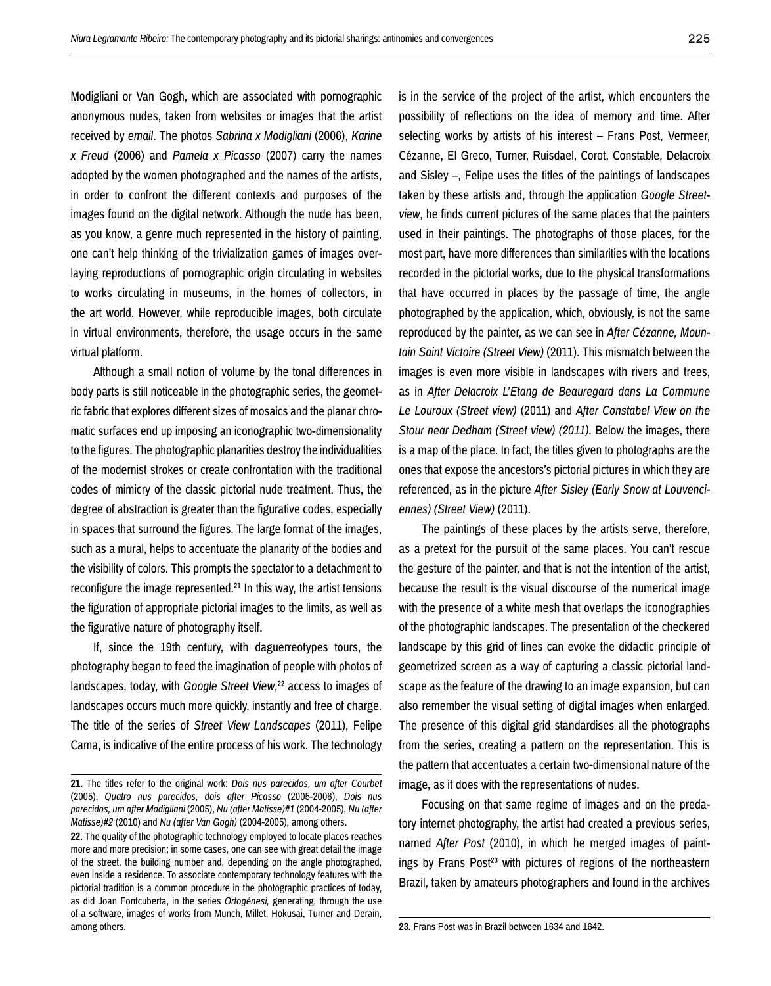Modigliani or Van Gogh, which are associated with pornographic anonymous nudes, taken from websites or images that the artist received by *email*. The photos *Sabrina x Modigliani* (2006), *Karine x Freud* (2006) and *Pamela x Picasso* (2007) carry the names adopted by the women photographed and the names of the artists, in order to confront the different contexts and purposes of the images found on the digital network. Although the nude has been, as you know, a genre much represented in the history of painting, one can't help thinking of the trivialization games of images overlaying reproductions of pornographic origin circulating in websites to works circulating in museums, in the homes of collectors, in the art world. However, while reproducible images, both circulate in virtual environments, therefore, the usage occurs in the same virtual platform.

Although a small notion of volume by the tonal differences in body parts is still noticeable in the photographic series, the geometric fabric that explores different sizes of mosaics and the planar chromatic surfaces end up imposing an iconographic two-dimensionality to the figures. The photographic planarities destroy the individualities of the modernist strokes or create confrontation with the traditional codes of mimicry of the classic pictorial nude treatment. Thus, the degree of abstraction is greater than the figurative codes, especially in spaces that surround the figures. The large format of the images, such as a mural, helps to accentuate the planarity of the bodies and the visibility of colors. This prompts the spectator to a detachment to reconfigure the image represented.<sup>21</sup> In this way, the artist tensions the figuration of appropriate pictorial images to the limits, as well as the figurative nature of photography itself.

If, since the 19th century, with daguerreotypes tours, the photography began to feed the imagination of people with photos of landscapes, today, with *Google Street View*,<sup>22</sup> access to images of landscapes occurs much more quickly, instantly and free of charge. The title of the series of *Street View Landscapes* (2011), Felipe Cama, is indicative of the entire process of his work. The technology

is in the service of the project of the artist, which encounters the possibility of reflections on the idea of memory and time. After selecting works by artists of his interest – Frans Post, Vermeer, Cézanne, El Greco, Turner, Ruisdael, Corot, Constable, Delacroix and Sisley –, Felipe uses the titles of the paintings of landscapes taken by these artists and, through the application *Google Streetview*, he finds current pictures of the same places that the painters used in their paintings. The photographs of those places, for the most part, have more differences than similarities with the locations recorded in the pictorial works, due to the physical transformations that have occurred in places by the passage of time, the angle photographed by the application, which, obviously, is not the same reproduced by the painter, as we can see in *After Cézanne, Mountain Saint Victoire (Street View)* (2011). This mismatch between the images is even more visible in landscapes with rivers and trees, as in *After Delacroix L'Etang de Beauregard dans La Commune Le Louroux (Street view)* (2011) and *After Constabel View on the Stour near Dedham (Street view) (2011).* Below the images, there is a map of the place. In fact, the titles given to photographs are the ones that expose the ancestors's pictorial pictures in which they are referenced, as in the picture *After Sisley (Early Snow at Louvenciennes) (Street View)* (2011).

The paintings of these places by the artists serve, therefore, as a pretext for the pursuit of the same places. You can't rescue the gesture of the painter, and that is not the intention of the artist, because the result is the visual discourse of the numerical image with the presence of a white mesh that overlaps the iconographies of the photographic landscapes. The presentation of the checkered landscape by this grid of lines can evoke the didactic principle of geometrized screen as a way of capturing a classic pictorial landscape as the feature of the drawing to an image expansion, but can also remember the visual setting of digital images when enlarged. The presence of this digital grid standardises all the photographs from the series, creating a pattern on the representation. This is the pattern that accentuates a certain two-dimensional nature of the image, as it does with the representations of nudes.

Focusing on that same regime of images and on the predatory internet photography, the artist had created a previous series, named *After Post* (2010), in which he merged images of paintings by Frans Post<sup>23</sup> with pictures of regions of the northeastern Brazil, taken by amateurs photographers and found in the archives

**23.** Frans Post was in Brazil between 1634 and 1642.

**<sup>21.</sup>** The titles refer to the original work: *Dois nus parecidos, um after Courbet* (2005), *Quatro nus parecidos, dois after Picasso* (2005-2006), *Dois nus parecidos, um after Modigliani* (2005), *Nu (after Matisse)#1* (2004-2005), *Nu (after Matisse)#2* (2010) and *Nu (after Van Gogh)* (2004-2005), among others.

**<sup>22.</sup>** The quality of the photographic technology employed to locate places reaches more and more precision; in some cases, one can see with great detail the image of the street, the building number and, depending on the angle photographed, even inside a residence. To associate contemporary technology features with the pictorial tradition is a common procedure in the photographic practices of today, as did Joan Fontcuberta, in the series *Ortogénesi,* generating, through the use of a software, images of works from Munch, Millet, Hokusai, Turner and Derain, among others.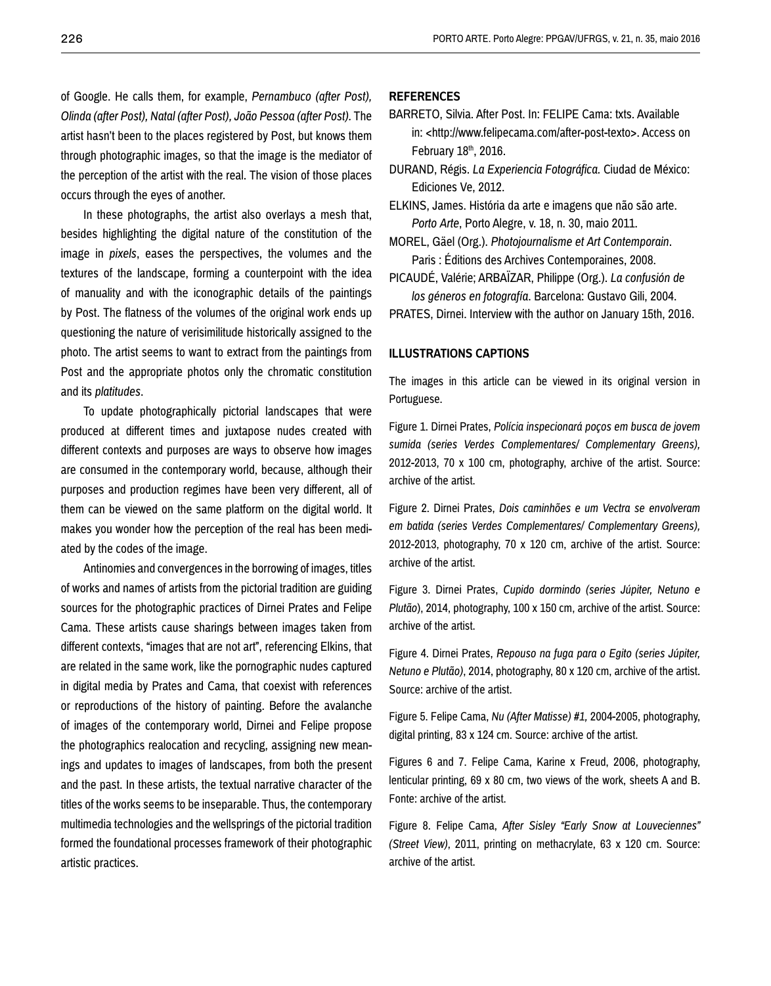of Google. He calls them, for example, *Pernambuco (after Post), Olinda (after Post), Natal (after Post), João Pessoa (after Post).* The artist hasn't been to the places registered by Post, but knows them through photographic images, so that the image is the mediator of the perception of the artist with the real. The vision of those places occurs through the eyes of another.

In these photographs, the artist also overlays a mesh that, besides highlighting the digital nature of the constitution of the image in *pixels*, eases the perspectives, the volumes and the textures of the landscape, forming a counterpoint with the idea of manuality and with the iconographic details of the paintings by Post. The flatness of the volumes of the original work ends up questioning the nature of verisimilitude historically assigned to the photo. The artist seems to want to extract from the paintings from Post and the appropriate photos only the chromatic constitution and its *platitudes*.

To update photographically pictorial landscapes that were produced at different times and juxtapose nudes created with different contexts and purposes are ways to observe how images are consumed in the contemporary world, because, although their purposes and production regimes have been very different, all of them can be viewed on the same platform on the digital world. It makes you wonder how the perception of the real has been mediated by the codes of the image.

Antinomies and convergences in the borrowing of images, titles of works and names of artists from the pictorial tradition are guiding sources for the photographic practices of Dirnei Prates and Felipe Cama. These artists cause sharings between images taken from different contexts, "images that are not art", referencing Elkins, that are related in the same work, like the pornographic nudes captured in digital media by Prates and Cama, that coexist with references or reproductions of the history of painting. Before the avalanche of images of the contemporary world, Dirnei and Felipe propose the photographics realocation and recycling, assigning new meanings and updates to images of landscapes, from both the present and the past. In these artists, the textual narrative character of the titles of the works seems to be inseparable. Thus, the contemporary multimedia technologies and the wellsprings of the pictorial tradition formed the foundational processes framework of their photographic artistic practices.

#### **REFERENCES**

- BARRETO, Silvia. After Post. In: FELIPE Cama: txts. Available in: <http://www.felipecama.com/after-post-texto>. Access on February 18th, 2016.
- DURAND, Régis. *La Experiencia Fotográfica.* Ciudad de México: Ediciones Ve, 2012.
- ELKINS, James. História da arte e imagens que não são arte. *Porto Arte*, Porto Alegre, v. 18, n. 30, maio 2011.
- MOREL, Gäel (Org.). *Photojournalisme et Art Contemporain*. Paris : Éditions des Archives Contemporaines, 2008.
- PICAUDÉ, Valérie; ARBAÏZAR, Philippe (Org.). *La confusión de los géneros en fotografía*. Barcelona: Gustavo Gili, 2004.
- PRATES, Dirnei. Interview with the author on January 15th, 2016.

#### **ILLUSTRATIONS CAPTIONS**

The images in this article can be viewed in its original version in Portuguese.

Figure 1. Dirnei Prates, *Polícia inspecionará poços em busca de jovem sumida (series Verdes Complementares/ Complementary Greens),* 2012-2013, 70 x 100 cm, photography, archive of the artist. Source: archive of the artist.

Figure 2. Dirnei Prates, *Dois caminhões e um Vectra se envolveram em batida (series Verdes Complementares/ Complementary Greens),*  2012-2013, photography, 70 x 120 cm, archive of the artist. Source: archive of the artist.

Figure 3. Dirnei Prates, *Cupido dormindo (series Júpiter, Netuno e Plutão*), 2014, photography, 100 x 150 cm, archive of the artist. Source: archive of the artist.

Figure 4. Dirnei Prates, *Repouso na fuga para o Egito (series Júpiter, Netuno e Plutão)*, 2014, photography, 80 x 120 cm, archive of the artist. Source: archive of the artist.

Figure 5. Felipe Cama, *Nu (After Matisse) #1,* 2004-2005, photography, digital printing, 83 x 124 cm. Source: archive of the artist.

Figures 6 and 7. Felipe Cama, Karine x Freud, 2006, photography, lenticular printing, 69 x 80 cm, two views of the work, sheets A and B. Fonte: archive of the artist.

Figure 8. Felipe Cama, *After Sisley "Early Snow at Louveciennes" (Street View)*, 2011, printing on methacrylate, 63 x 120 cm. Source: archive of the artist.